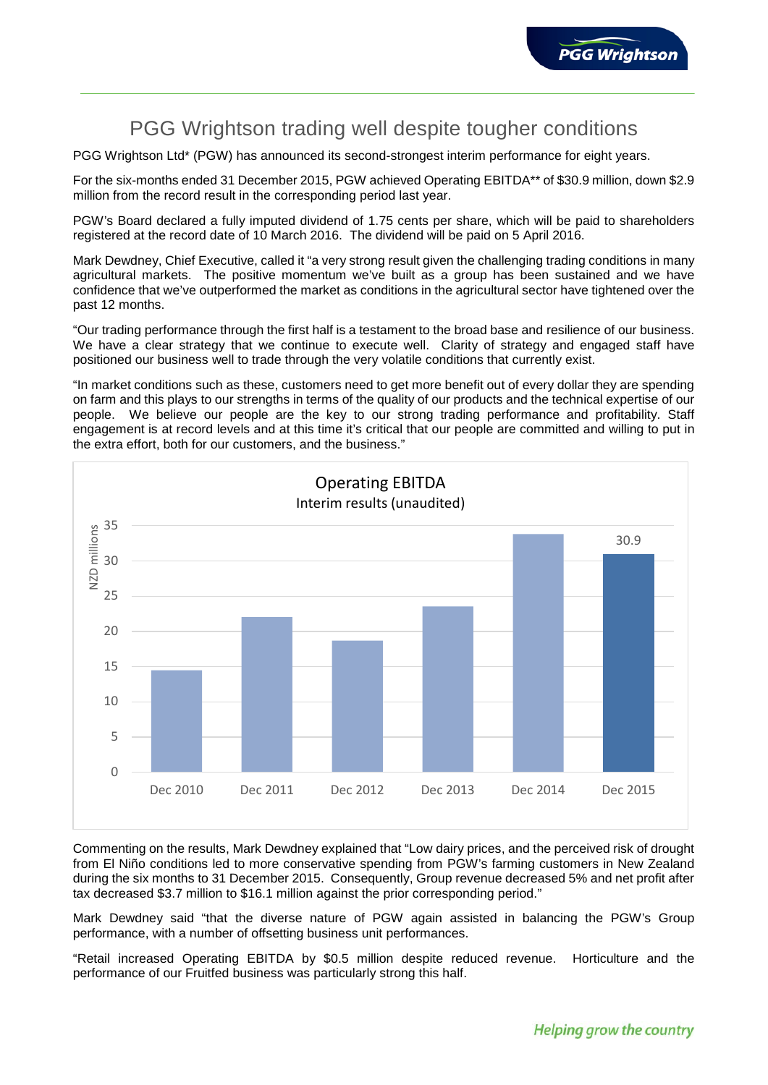

# PGG Wrightson trading well despite tougher conditions

PGG Wrightson Ltd\* (PGW) has announced its second-strongest interim performance for eight years.

For the six-months ended 31 December 2015, PGW achieved Operating EBITDA\*\* of \$30.9 million, down \$2.9 million from the record result in the corresponding period last year.

PGW's Board declared a fully imputed dividend of 1.75 cents per share, which will be paid to shareholders registered at the record date of 10 March 2016. The dividend will be paid on 5 April 2016.

Mark Dewdney, Chief Executive, called it "a very strong result given the challenging trading conditions in many agricultural markets. The positive momentum we've built as a group has been sustained and we have confidence that we've outperformed the market as conditions in the agricultural sector have tightened over the past 12 months.

"Our trading performance through the first half is a testament to the broad base and resilience of our business. We have a clear strategy that we continue to execute well. Clarity of strategy and engaged staff have positioned our business well to trade through the very volatile conditions that currently exist.

"In market conditions such as these, customers need to get more benefit out of every dollar they are spending on farm and this plays to our strengths in terms of the quality of our products and the technical expertise of our people. We believe our people are the key to our strong trading performance and profitability. Staff engagement is at record levels and at this time it's critical that our people are committed and willing to put in the extra effort, both for our customers, and the business."



Commenting on the results, Mark Dewdney explained that "Low dairy prices, and the perceived risk of drought from El Niño conditions led to more conservative spending from PGW's farming customers in New Zealand during the six months to 31 December 2015. Consequently, Group revenue decreased 5% and net profit after tax decreased \$3.7 million to \$16.1 million against the prior corresponding period."

Mark Dewdney said "that the diverse nature of PGW again assisted in balancing the PGW's Group performance, with a number of offsetting business unit performances.

"Retail increased Operating EBITDA by \$0.5 million despite reduced revenue. Horticulture and the performance of our Fruitfed business was particularly strong this half.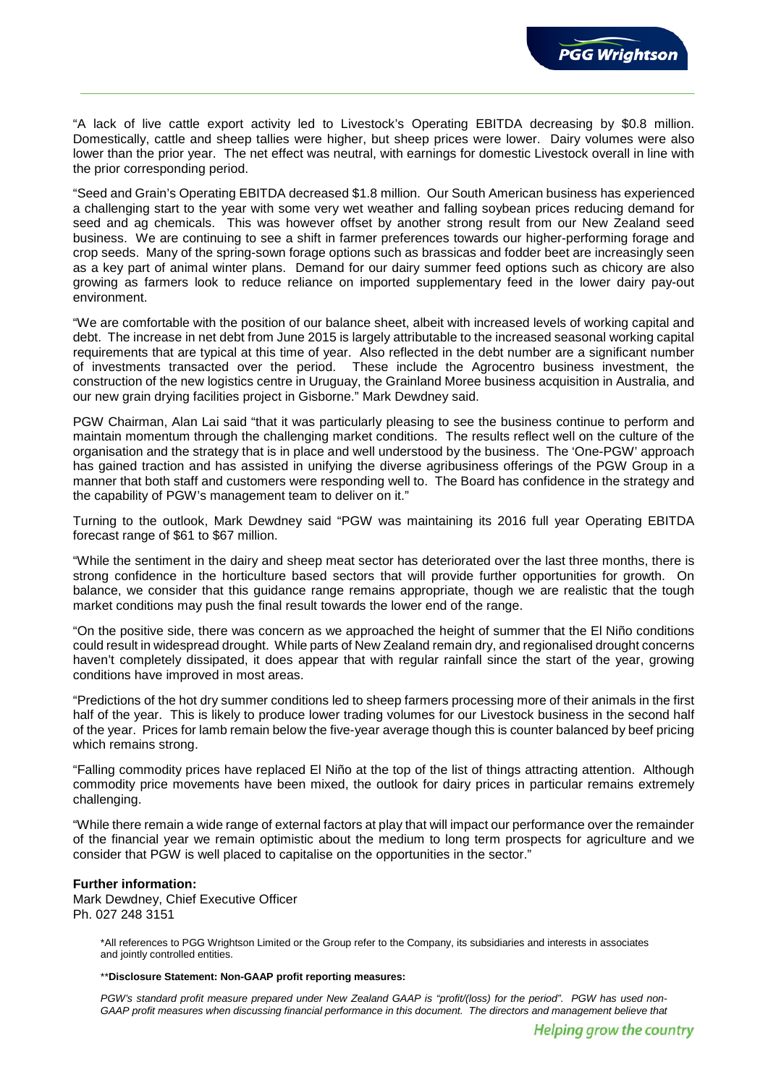

"A lack of live cattle export activity led to Livestock's Operating EBITDA decreasing by \$0.8 million. Domestically, cattle and sheep tallies were higher, but sheep prices were lower. Dairy volumes were also lower than the prior year. The net effect was neutral, with earnings for domestic Livestock overall in line with the prior corresponding period.

"Seed and Grain's Operating EBITDA decreased \$1.8 million. Our South American business has experienced a challenging start to the year with some very wet weather and falling soybean prices reducing demand for seed and ag chemicals. This was however offset by another strong result from our New Zealand seed business. We are continuing to see a shift in farmer preferences towards our higher-performing forage and crop seeds. Many of the spring-sown forage options such as brassicas and fodder beet are increasingly seen as a key part of animal winter plans. Demand for our dairy summer feed options such as chicory are also growing as farmers look to reduce reliance on imported supplementary feed in the lower dairy pay-out environment.

"We are comfortable with the position of our balance sheet, albeit with increased levels of working capital and debt. The increase in net debt from June 2015 is largely attributable to the increased seasonal working capital requirements that are typical at this time of year. Also reflected in the debt number are a significant number of investments transacted over the period. These include the Agrocentro business investment, the construction of the new logistics centre in Uruguay, the Grainland Moree business acquisition in Australia, and our new grain drying facilities project in Gisborne." Mark Dewdney said.

PGW Chairman, Alan Lai said "that it was particularly pleasing to see the business continue to perform and maintain momentum through the challenging market conditions. The results reflect well on the culture of the organisation and the strategy that is in place and well understood by the business. The 'One-PGW' approach has gained traction and has assisted in unifying the diverse agribusiness offerings of the PGW Group in a manner that both staff and customers were responding well to. The Board has confidence in the strategy and the capability of PGW's management team to deliver on it."

Turning to the outlook, Mark Dewdney said "PGW was maintaining its 2016 full year Operating EBITDA forecast range of \$61 to \$67 million.

"While the sentiment in the dairy and sheep meat sector has deteriorated over the last three months, there is strong confidence in the horticulture based sectors that will provide further opportunities for growth. On balance, we consider that this guidance range remains appropriate, though we are realistic that the tough market conditions may push the final result towards the lower end of the range.

"On the positive side, there was concern as we approached the height of summer that the El Niño conditions could result in widespread drought. While parts of New Zealand remain dry, and regionalised drought concerns haven't completely dissipated, it does appear that with regular rainfall since the start of the year, growing conditions have improved in most areas.

"Predictions of the hot dry summer conditions led to sheep farmers processing more of their animals in the first half of the year. This is likely to produce lower trading volumes for our Livestock business in the second half of the year. Prices for lamb remain below the five-year average though this is counter balanced by beef pricing which remains strong.

"Falling commodity prices have replaced El Niño at the top of the list of things attracting attention. Although commodity price movements have been mixed, the outlook for dairy prices in particular remains extremely challenging.

"While there remain a wide range of external factors at play that will impact our performance over the remainder of the financial year we remain optimistic about the medium to long term prospects for agriculture and we consider that PGW is well placed to capitalise on the opportunities in the sector."

## **Further information:**

Mark Dewdney, Chief Executive Officer Ph. 027 248 3151

> \*All references to PGG Wrightson Limited or the Group refer to the Company, its subsidiaries and interests in associates and jointly controlled entities.

## \*\***Disclosure Statement: Non-GAAP profit reporting measures:**

*PGW's standard profit measure prepared under New Zealand GAAP is "profit/(loss) for the period". PGW has used non-GAAP profit measures when discussing financial performance in this document. The directors and management believe that*